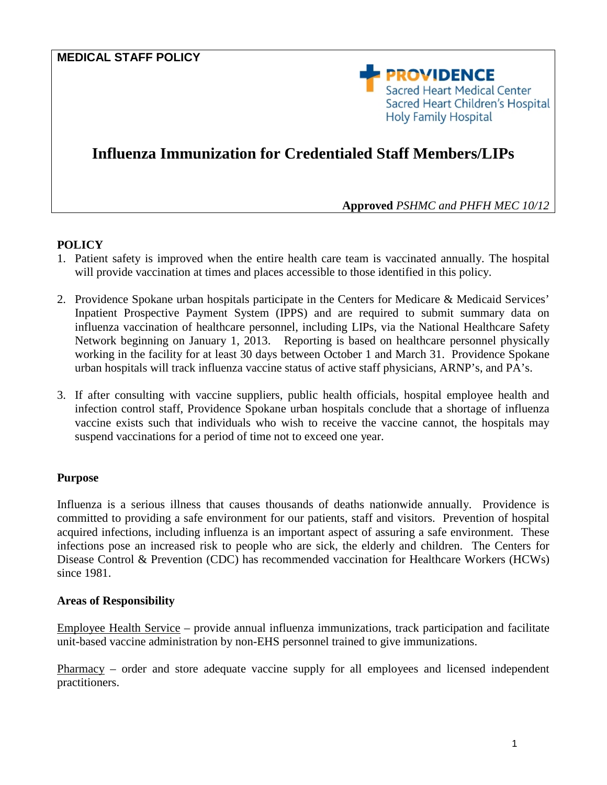# **MEDICAL STAFF POLICY**



# **Influenza Immunization for Credentialed Staff Members/LIPs**

**Approved** *PSHMC and PHFH MEC 10/12*

#### **POLICY**

- 1. Patient safety is improved when the entire health care team is vaccinated annually. The hospital will provide vaccination at times and places accessible to those identified in this policy.
- 2. Providence Spokane urban hospitals participate in the Centers for Medicare & Medicaid Services' Inpatient Prospective Payment System (IPPS) and are required to submit summary data on influenza vaccination of healthcare personnel, including LIPs, via the National Healthcare Safety Network beginning on January 1, 2013. Reporting is based on healthcare personnel physically working in the facility for at least 30 days between October 1 and March 31. Providence Spokane urban hospitals will track influenza vaccine status of active staff physicians, ARNP's, and PA's.
- 3. If after consulting with vaccine suppliers, public health officials, hospital employee health and infection control staff, Providence Spokane urban hospitals conclude that a shortage of influenza vaccine exists such that individuals who wish to receive the vaccine cannot, the hospitals may suspend vaccinations for a period of time not to exceed one year.

#### **Purpose**

Influenza is a serious illness that causes thousands of deaths nationwide annually. Providence is committed to providing a safe environment for our patients, staff and visitors. Prevention of hospital acquired infections, including influenza is an important aspect of assuring a safe environment. These infections pose an increased risk to people who are sick, the elderly and children. The Centers for Disease Control & Prevention (CDC) has recommended vaccination for Healthcare Workers (HCWs) since 1981.

#### **Areas of Responsibility**

Employee Health Service – provide annual influenza immunizations, track participation and facilitate unit-based vaccine administration by non-EHS personnel trained to give immunizations.

Pharmacy – order and store adequate vaccine supply for all employees and licensed independent practitioners.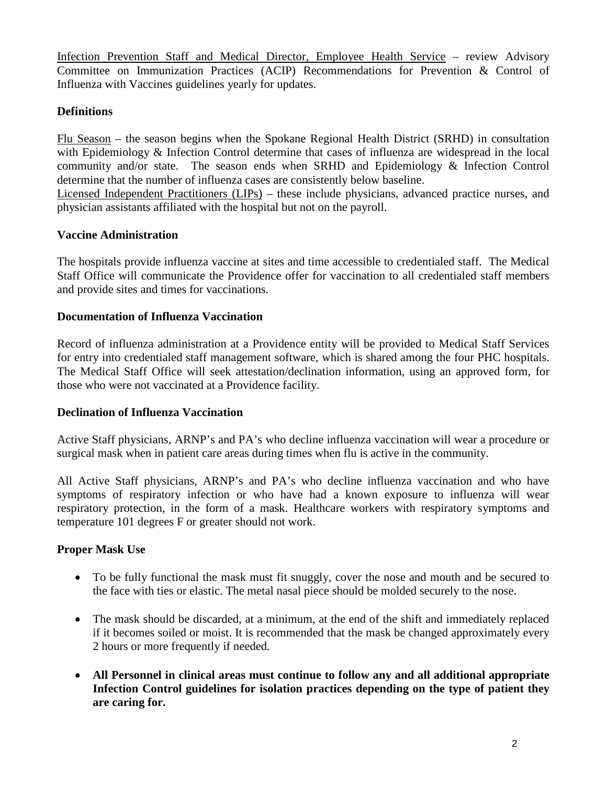Infection Prevention Staff and Medical Director, Employee Health Service – review Advisory Committee on Immunization Practices (ACIP) Recommendations for Prevention & Control of Influenza with Vaccines guidelines yearly for updates.

## **Definitions**

Flu Season – the season begins when the Spokane Regional Health District (SRHD) in consultation with Epidemiology & Infection Control determine that cases of influenza are widespread in the local community and/or state. The season ends when SRHD and Epidemiology & Infection Control determine that the number of influenza cases are consistently below baseline.

Licensed Independent Practitioners (LIPs) – these include physicians, advanced practice nurses, and physician assistants affiliated with the hospital but not on the payroll.

## **Vaccine Administration**

The hospitals provide influenza vaccine at sites and time accessible to credentialed staff. The Medical Staff Office will communicate the Providence offer for vaccination to all credentialed staff members and provide sites and times for vaccinations.

## **Documentation of Influenza Vaccination**

Record of influenza administration at a Providence entity will be provided to Medical Staff Services for entry into credentialed staff management software, which is shared among the four PHC hospitals. The Medical Staff Office will seek attestation/declination information, using an approved form, for those who were not vaccinated at a Providence facility.

## **Declination of Influenza Vaccination**

Active Staff physicians, ARNP's and PA's who decline influenza vaccination will wear a procedure or surgical mask when in patient care areas during times when flu is active in the community.

All Active Staff physicians, ARNP's and PA's who decline influenza vaccination and who have symptoms of respiratory infection or who have had a known exposure to influenza will wear respiratory protection, in the form of a mask. Healthcare workers with respiratory symptoms and temperature 101 degrees F or greater should not work.

# **Proper Mask Use**

- To be fully functional the mask must fit snuggly, cover the nose and mouth and be secured to the face with ties or elastic. The metal nasal piece should be molded securely to the nose.
- The mask should be discarded, at a minimum, at the end of the shift and immediately replaced if it becomes soiled or moist. It is recommended that the mask be changed approximately every 2 hours or more frequently if needed.
- **All Personnel in clinical areas must continue to follow any and all additional appropriate Infection Control guidelines for isolation practices depending on the type of patient they are caring for.**